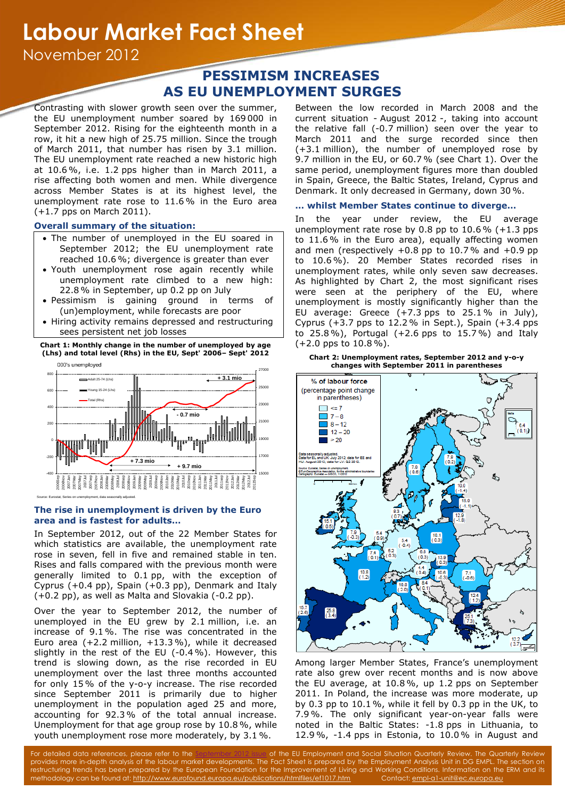# **Labour Market Fact Sheet**

November 2012

# **PESSIMISM INCREASES AS EU UNEMPLOYMENT SURGES**

Contrasting with slower growth seen over the summer, the EU unemployment number soared by 169 000 in September 2012. Rising for the eighteenth month in a row, it hit a new high of 25.75 million. Since the trough of March 2011, that number has risen by 3.1 million. The EU unemployment rate reached a new historic high at 10.6 %, i.e. 1.2 pps higher than in March 2011, a rise affecting both women and men. While divergence across Member States is at its highest level, the unemployment rate rose to 11.6% in the Euro area (+1.7 pps on March 2011).

# **Overall summary of the situation:**

- The number of unemployed in the EU soared in September 2012; the EU unemployment rate reached 10.6%; divergence is greater than ever
- Youth unemployment rose again recently while unemployment rate climbed to a new high: 22.8% in September, up 0.2 pp on July
- Pessimism is gaining ground in terms of (un)employment, while forecasts are poor
- Hiring activity remains depressed and restructuring sees persistent net job losses

**Chart 1: Monthly change in the number of unemployed by age (Lhs) and total level (Rhs) in the EU, Sept' 2006– Sept' 2012**



## **The rise in unemployment is driven by the Euro area and is fastest for adults…**

In September 2012, out of the 22 Member States for which statistics are available, the unemployment rate rose in seven, fell in five and remained stable in ten. Rises and falls compared with the previous month were generally limited to 0.1 pp, with the exception of Cyprus (+0.4 pp), Spain (+0.3 pp), Denmark and Italy (+0.2 pp), as well as Malta and Slovakia (-0.2 pp).

Over the year to September 2012, the number of unemployed in the EU grew by 2.1 million, i.e. an increase of 9.1%. The rise was concentrated in the Euro area (+2.2 million, +13.3%), while it decreased slightly in the rest of the EU (-0.4 %). However, this trend is slowing down, as the rise recorded in EU unemployment over the last three months accounted for only 15% of the y-o-y increase. The rise recorded since September 2011 is primarily due to higher unemployment in the population aged 25 and more, accounting for 92.3% of the total annual increase. Unemployment for that age group rose by 10.8%, while youth unemployment rose more moderately, by 3.1 %.

Between the low recorded in March 2008 and the current situation - August 2012 -, taking into account the relative fall (-0.7 million) seen over the year to March 2011 and the surge recorded since then (+3.1 million), the number of unemployed rose by 9.7 million in the EU, or 60.7 % (see Chart 1). Over the same period, unemployment figures more than doubled in Spain, Greece, the Baltic States, Ireland, Cyprus and Denmark. It only decreased in Germany, down 30%.

# **… whilst Member States continue to diverge…**

In the year under review, the EU average unemployment rate rose by 0.8 pp to  $10.6\%$  (+1.3 pps to 11.6% in the Euro area), equally affecting women and men (respectively  $+0.8$  pp to 10.7% and  $+0.9$  pp to 10.6 %). 20 Member States recorded rises in unemployment rates, while only seven saw decreases. As highlighted by Chart 2, the most significant rises were seen at the periphery of the EU, where unemployment is mostly significantly higher than the EU average: Greece (+7.3 pps to 25.1% in July), Cyprus (+3.7 pps to 12.2% in Sept.), Spain (+3.4 pps to 25.8%), Portugal (+2.6 pps to 15.7%) and Italy (+2.0 pps to 10.8%).





Among larger Member States, France's unemployment rate also grew over recent months and is now above the EU average, at 10.8%, up 1.2 pps on September 2011. In Poland, the increase was more moderate, up by 0.3 pp to 10.1 %, while it fell by 0.3 pp in the UK, to 7.9%. The only significant year-on-year falls were noted in the Baltic States: -1.8 pps in Lithuania, to 12.9 %, -1.4 pps in Estonia, to 10.0% in August and